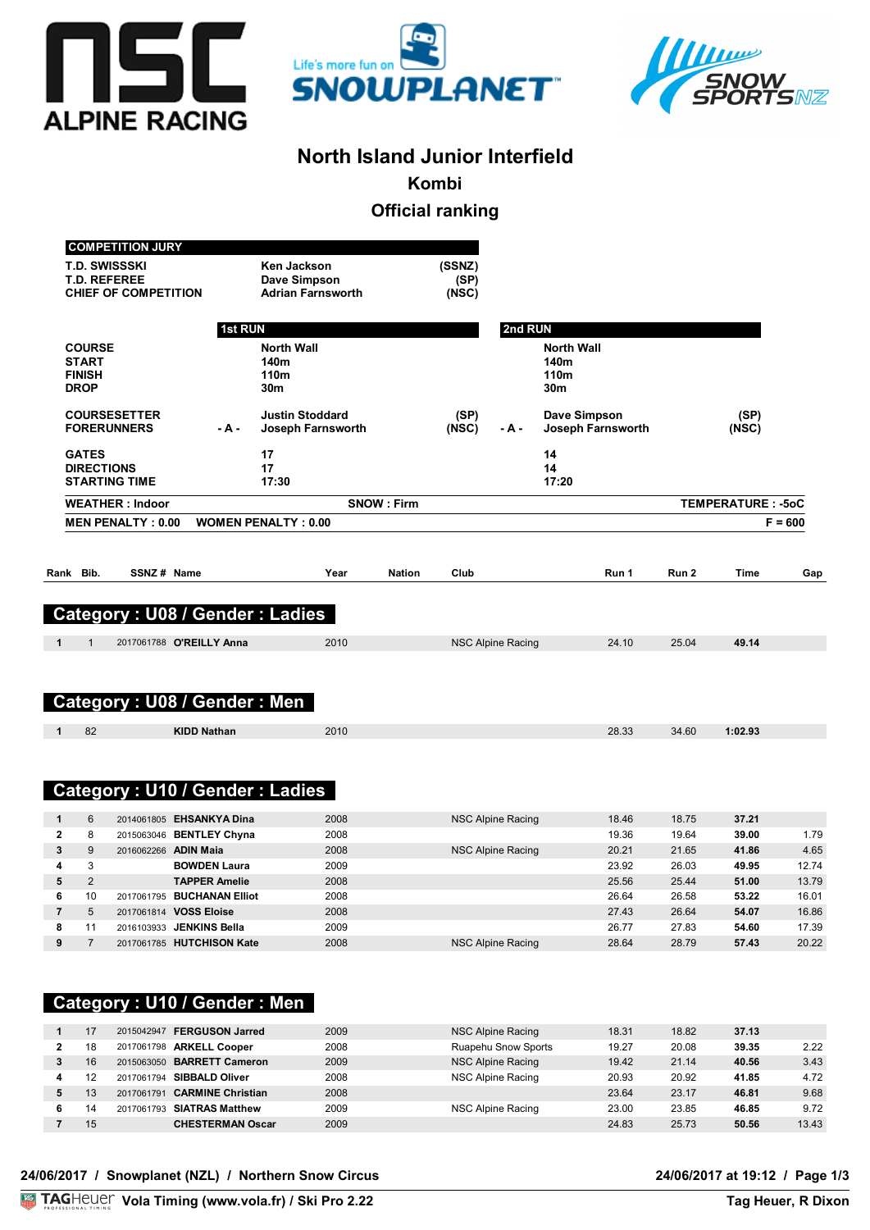





# **North Island Junior Interfield**

**Kombi**

# **Official ranking**

|              |                                                               | <b>COMPETITION JURY</b>                                                    |                                    |                                                         |                   |                         |                          |                                                      |       |                          |           |
|--------------|---------------------------------------------------------------|----------------------------------------------------------------------------|------------------------------------|---------------------------------------------------------|-------------------|-------------------------|--------------------------|------------------------------------------------------|-------|--------------------------|-----------|
|              |                                                               | <b>T.D. SWISSSKI</b><br><b>T.D. REFEREE</b><br><b>CHIEF OF COMPETITION</b> |                                    | Ken Jackson<br>Dave Simpson<br><b>Adrian Farnsworth</b> |                   | (SSNZ)<br>(SP)<br>(NSC) |                          |                                                      |       |                          |           |
|              |                                                               |                                                                            | 1st RUN                            |                                                         |                   |                         | 2nd RUN                  |                                                      |       |                          |           |
|              | <b>COURSE</b><br><b>START</b><br><b>FINISH</b><br><b>DROP</b> |                                                                            |                                    | <b>North Wall</b><br>140m<br>110m<br>30m                |                   |                         |                          | <b>North Wall</b><br>140m<br>110m<br>30 <sub>m</sub> |       |                          |           |
|              |                                                               | <b>COURSESETTER</b><br><b>FORERUNNERS</b>                                  | - A -                              | <b>Justin Stoddard</b><br>Joseph Farnsworth             |                   | (SP)<br>(NSC)           | - A -                    | Dave Simpson<br>Joseph Farnsworth                    |       | (SP)<br>(NSC)            |           |
|              | <b>GATES</b><br><b>DIRECTIONS</b>                             | <b>STARTING TIME</b>                                                       |                                    | 17<br>17<br>17:30                                       |                   |                         |                          | 14<br>14<br>17:20                                    |       |                          |           |
|              |                                                               | <b>WEATHER: Indoor</b>                                                     |                                    |                                                         | <b>SNOW: Firm</b> |                         |                          |                                                      |       | <b>TEMPERATURE: -5oC</b> |           |
|              |                                                               | <b>MEN PENALTY: 0.00</b>                                                   |                                    | <b>WOMEN PENALTY: 0.00</b>                              |                   |                         |                          |                                                      |       |                          | $F = 600$ |
|              |                                                               |                                                                            |                                    |                                                         |                   |                         |                          |                                                      |       |                          |           |
|              | Rank Bib.                                                     | SSNZ# Name                                                                 |                                    | Year                                                    | <b>Nation</b>     | Club                    |                          | Run 1                                                | Run 2 | Time                     | Gap       |
|              |                                                               |                                                                            |                                    |                                                         |                   |                         |                          |                                                      |       |                          |           |
|              |                                                               |                                                                            |                                    | <b>Category: U08 / Gender: Ladies</b>                   |                   |                         |                          |                                                      |       |                          |           |
|              |                                                               |                                                                            |                                    |                                                         |                   |                         |                          |                                                      |       |                          |           |
| 1            | 1                                                             |                                                                            | 2017061788 O'REILLY Anna           | 2010                                                    |                   |                         | <b>NSC Alpine Racing</b> | 24.10                                                | 25.04 | 49.14                    |           |
|              |                                                               |                                                                            |                                    |                                                         |                   |                         |                          |                                                      |       |                          |           |
|              |                                                               |                                                                            |                                    |                                                         |                   |                         |                          |                                                      |       |                          |           |
|              |                                                               |                                                                            | <b>Category: U08 / Gender: Men</b> |                                                         |                   |                         |                          |                                                      |       |                          |           |
|              |                                                               |                                                                            |                                    |                                                         |                   |                         |                          |                                                      |       |                          |           |
| $\mathbf{1}$ | 82                                                            |                                                                            | <b>KIDD Nathan</b>                 | 2010                                                    |                   |                         |                          | 28.33                                                | 34.60 | 1:02.93                  |           |
|              |                                                               |                                                                            |                                    |                                                         |                   |                         |                          |                                                      |       |                          |           |
|              |                                                               |                                                                            |                                    |                                                         |                   |                         |                          |                                                      |       |                          |           |
|              |                                                               |                                                                            | Category: U10 / Gender: Ladies     |                                                         |                   |                         |                          |                                                      |       |                          |           |
|              |                                                               |                                                                            |                                    |                                                         |                   |                         |                          |                                                      |       |                          |           |
| 1            | 6                                                             |                                                                            | 2014061805 EHSANKYA Dina           | 2008                                                    |                   |                         | <b>NSC Alpine Racing</b> | 18.46                                                | 18.75 | 37.21                    |           |
| $\mathbf{2}$ | 8                                                             |                                                                            | 2015063046 BENTLEY Chyna           | 2008                                                    |                   |                         |                          | 19.36                                                | 19.64 | 39.00                    | 1.79      |
| 3            | 9                                                             |                                                                            | 2016062266 ADIN Maia               | 2008                                                    |                   |                         | <b>NSC Alpine Racing</b> | 20.21                                                | 21.65 | 41.86                    | 4.65      |
| 4            | 3                                                             |                                                                            | <b>BOWDEN Laura</b>                | 2009                                                    |                   |                         |                          | 23.92                                                | 26.03 | 49.95                    | 12.74     |
| 5            | $\overline{2}$                                                |                                                                            | <b>TAPPER Amelie</b>               | 2008                                                    |                   |                         |                          | 25.56                                                | 25.44 | 51.00                    | 13.79     |
| 6            | 10                                                            |                                                                            | 2017061795 BUCHANAN Elliot         | 2008                                                    |                   |                         |                          | 26.64                                                | 26.58 | 53.22                    | 16.01     |
| 7            | 5                                                             |                                                                            | 2017061814 VOSS Eloise             | 2008                                                    |                   |                         |                          | 27.43                                                | 26.64 | 54.07                    | 16.86     |
| 8            | 11                                                            |                                                                            | 2016103933 JENKINS Bella           | 2009                                                    |                   |                         |                          | 26.77                                                | 27.83 | 54.60                    | 17.39     |
| 9            | $\overline{7}$                                                |                                                                            | 2017061785 HUTCHISON Kate          | 2008                                                    |                   |                         | <b>NSC Alpine Racing</b> | 28.64                                                | 28.79 | 57.43                    | 20.22     |
|              |                                                               |                                                                            |                                    |                                                         |                   |                         |                          |                                                      |       |                          |           |
|              |                                                               |                                                                            |                                    |                                                         |                   |                         |                          |                                                      |       |                          |           |
|              |                                                               |                                                                            | Category: U10 / Gender: Men        |                                                         |                   |                         |                          |                                                      |       |                          |           |
|              |                                                               |                                                                            |                                    |                                                         |                   |                         |                          |                                                      |       |                          |           |
| 1            | 17                                                            |                                                                            | 2015042947 FERGUSON Jarred         | 2009                                                    |                   |                         | <b>NSC Alpine Racing</b> | 18.31                                                | 18.82 | 37.13                    |           |
| $\mathbf{2}$ | 18                                                            |                                                                            | 2017061798 ARKELL Cooper           | 2008                                                    |                   |                         | Ruapehu Snow Sports      | 19.27                                                | 20.08 | 39.35                    | 2.22      |
|              |                                                               |                                                                            |                                    |                                                         |                   |                         |                          |                                                      |       |                          |           |

|    | 201082347 <b>ILINOOOON JAILEU</b> | ∠∪∪J | <b>INUU AIDIHU INGUIHU</b>                                                                                                                  | 1 U.U | 10.04 |       |       |
|----|-----------------------------------|------|---------------------------------------------------------------------------------------------------------------------------------------------|-------|-------|-------|-------|
| 18 |                                   | 2008 | Ruapehu Snow Sports                                                                                                                         | 19.27 | 20.08 | 39.35 | 2.22  |
| 16 | 2015063050                        | 2009 | NSC Alpine Racing                                                                                                                           | 19.42 | 21.14 | 40.56 | 3.43  |
|    | 2017061794 SIBBALD Oliver         | 2008 | NSC Alpine Racing                                                                                                                           | 20.93 | 20.92 | 41.85 | 4.72  |
| 13 |                                   | 2008 |                                                                                                                                             | 23.64 | 23.17 | 46.81 | 9.68  |
| 14 |                                   | 2009 | NSC Alpine Racing                                                                                                                           | 23.00 | 23.85 | 46.85 | 9.72  |
| 15 |                                   | 2009 |                                                                                                                                             | 24.83 | 25.73 | 50.56 | 13.43 |
|    |                                   |      | 2017061798 ARKELL Cooper<br><b>BARRETT Cameron</b><br>2017061791 CARMINE Christian<br>2017061793 SIATRAS Matthew<br><b>CHESTERMAN Oscar</b> |       |       |       |       |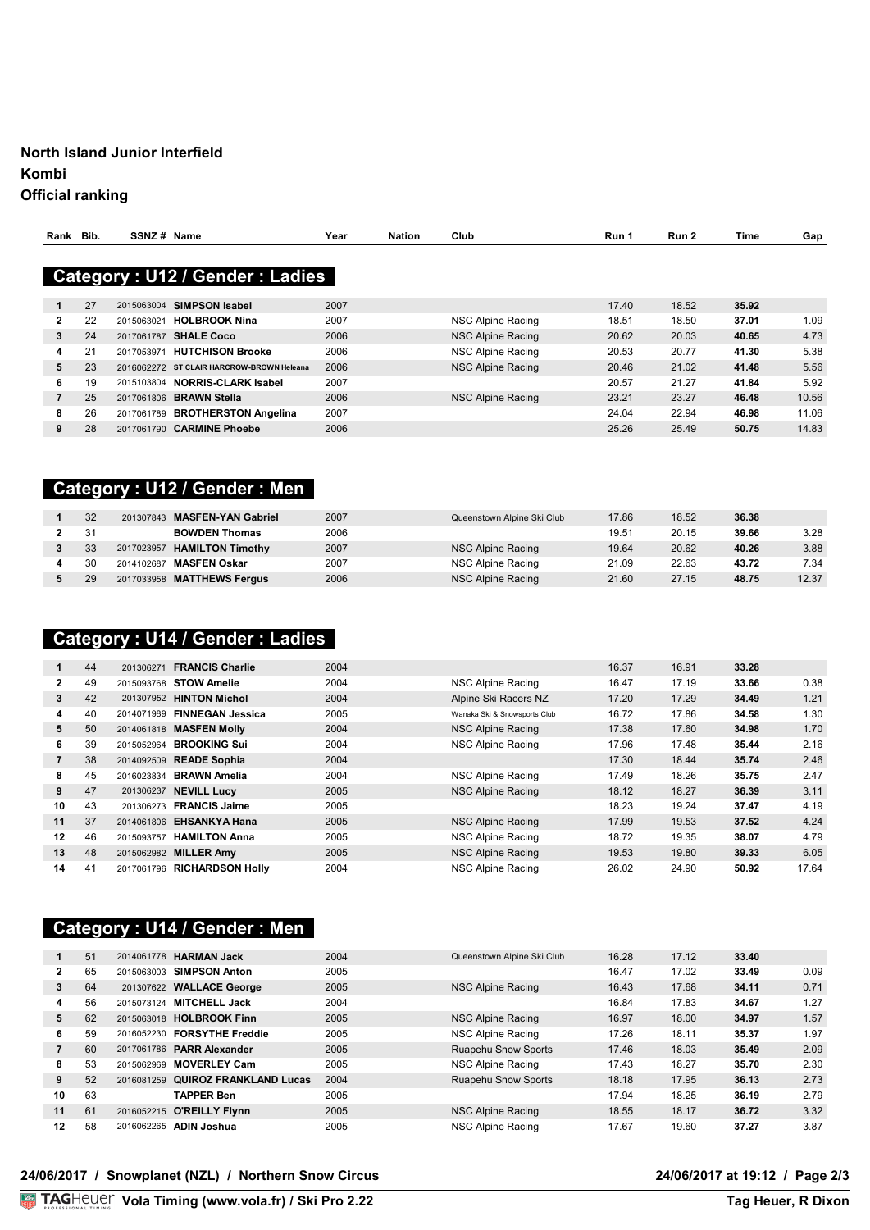# **North Island Junior Interfield Kombi**

### **Official ranking**

| Rank           | Bib. | SSNZ# Name |                                           | Year | <b>Nation</b> | Club              | Run 1 | Run 2 | Time  | Gap   |
|----------------|------|------------|-------------------------------------------|------|---------------|-------------------|-------|-------|-------|-------|
|                |      |            | <b>Category: U12 / Gender: Ladies</b>     |      |               |                   |       |       |       |       |
|                |      |            |                                           |      |               |                   |       |       |       |       |
|                | 27   | 2015063004 | <b>SIMPSON Isabel</b>                     | 2007 |               |                   | 17.40 | 18.52 | 35.92 |       |
| 2              | 22   | 2015063021 | <b>HOLBROOK Nina</b>                      | 2007 |               | NSC Alpine Racing | 18.51 | 18.50 | 37.01 | 1.09  |
| 3              | 24   | 2017061787 | <b>SHALE Coco</b>                         | 2006 |               | NSC Alpine Racing | 20.62 | 20.03 | 40.65 | 4.73  |
| 4              | 21   | 2017053971 | <b>HUTCHISON Brooke</b>                   | 2006 |               | NSC Alpine Racing | 20.53 | 20.77 | 41.30 | 5.38  |
| 5              | 23   |            | 2016062272 ST CLAIR HARCROW-BROWN Heleana | 2006 |               | NSC Alpine Racing | 20.46 | 21.02 | 41.48 | 5.56  |
| 6              | 19   | 2015103804 | <b>NORRIS-CLARK Isabel</b>                | 2007 |               |                   | 20.57 | 21.27 | 41.84 | 5.92  |
| $\overline{7}$ | 25   | 2017061806 | <b>BRAWN Stella</b>                       | 2006 |               | NSC Alpine Racing | 23.21 | 23.27 | 46.48 | 10.56 |
| 8              | 26   | 2017061789 | <b>BROTHERSTON Angelina</b>               | 2007 |               |                   | 24.04 | 22.94 | 46.98 | 11.06 |
| 9              | 28   | 2017061790 | <b>CARMINE Phoebe</b>                     | 2006 |               |                   | 25.26 | 25.49 | 50.75 | 14.83 |

# **Category : U12 / Gender : Men**

| 32 | 201307843 MASFEN-YAN Gabriel | 2007 | Queenstown Alpine Ski Club | 17.86 | 18.52 | 36.38 |       |
|----|------------------------------|------|----------------------------|-------|-------|-------|-------|
| 31 | <b>BOWDEN Thomas</b>         | 2006 |                            | 19.51 | 20.15 | 39.66 | 3.28  |
| 33 | 2017023957 HAMILTON Timothy  | 2007 | NSC Alpine Racing          | 19.64 | 20.62 | 40.26 | 3.88  |
| 30 | 2014102687 MASFEN Oskar      | 2007 | NSC Alpine Racing          | 21.09 | 22.63 | 43.72 | 7.34  |
| 29 | 2017033958 MATTHEWS Fergus   | 2006 | NSC Alpine Racing          | 21.60 | 27.15 | 48.75 | 12.37 |

# **Category : U14 / Gender : Ladies**

| 1  | 44 | 201306271  | <b>FRANCIS Charlie</b>      | 2004 |                              | 16.37 | 16.91 | 33.28 |       |
|----|----|------------|-----------------------------|------|------------------------------|-------|-------|-------|-------|
| 2  | 49 |            | 2015093768 STOW Amelie      | 2004 | NSC Alpine Racing            | 16.47 | 17.19 | 33.66 | 0.38  |
| 3  | 42 |            | 201307952 HINTON Michol     | 2004 | Alpine Ski Racers NZ         | 17.20 | 17.29 | 34.49 | 1.21  |
| 4  | 40 | 2014071989 | <b>FINNEGAN Jessica</b>     | 2005 | Wanaka Ski & Snowsports Club | 16.72 | 17.86 | 34.58 | 1.30  |
| 5  | 50 |            | 2014061818 MASFEN Molly     | 2004 | NSC Alpine Racing            | 17.38 | 17.60 | 34.98 | 1.70  |
| 6  | 39 | 2015052964 | <b>BROOKING Sui</b>         | 2004 | NSC Alpine Racing            | 17.96 | 17.48 | 35.44 | 2.16  |
|    | 38 |            | 2014092509 READE Sophia     | 2004 |                              | 17.30 | 18.44 | 35.74 | 2.46  |
| 8  | 45 | 2016023834 | <b>BRAWN Amelia</b>         | 2004 | NSC Alpine Racing            | 17.49 | 18.26 | 35.75 | 2.47  |
| 9  | 47 |            | 201306237 NEVILL Lucy       | 2005 | NSC Alpine Racing            | 18.12 | 18.27 | 36.39 | 3.11  |
| 10 | 43 |            | 201306273 FRANCIS Jaime     | 2005 |                              | 18.23 | 19.24 | 37.47 | 4.19  |
| 11 | 37 |            | 2014061806 EHSANKYA Hana    | 2005 | NSC Alpine Racing            | 17.99 | 19.53 | 37.52 | 4.24  |
| 12 | 46 | 2015093757 | <b>HAMILTON Anna</b>        | 2005 | NSC Alpine Racing            | 18.72 | 19.35 | 38.07 | 4.79  |
| 13 | 48 |            | 2015062982 MILLER Amy       | 2005 | NSC Alpine Racing            | 19.53 | 19.80 | 39.33 | 6.05  |
| 14 | 41 |            | 2017061796 RICHARDSON Holly | 2004 | NSC Alpine Racing            | 26.02 | 24.90 | 50.92 | 17.64 |

# **Category : U14 / Gender : Men**

|    | 51 |            | 2014061778 <b>HARMAN Jack</b> | 2004 | Queenstown Alpine Ski Club | 16.28 | 17.12 | 33.40 |      |
|----|----|------------|-------------------------------|------|----------------------------|-------|-------|-------|------|
| 2  | 65 | 2015063003 | <b>SIMPSON Anton</b>          | 2005 |                            | 16.47 | 17.02 | 33.49 | 0.09 |
| 3  | 64 | 201307622  | <b>WALLACE George</b>         | 2005 | <b>NSC Alpine Racing</b>   | 16.43 | 17.68 | 34.11 | 0.71 |
| 4  | 56 | 2015073124 | <b>MITCHELL Jack</b>          | 2004 |                            | 16.84 | 17.83 | 34.67 | 1.27 |
| 5  | 62 |            | 2015063018 HOLBROOK Finn      | 2005 | NSC Alpine Racing          | 16.97 | 18.00 | 34.97 | 1.57 |
| 6  | 59 | 2016052230 | <b>FORSYTHE Freddie</b>       | 2005 | <b>NSC Alpine Racing</b>   | 17.26 | 18.11 | 35.37 | 1.97 |
|    | 60 | 2017061786 | <b>PARR Alexander</b>         | 2005 | <b>Ruapehu Snow Sports</b> | 17.46 | 18.03 | 35.49 | 2.09 |
| 8  | 53 | 2015062969 | <b>MOVERLEY Cam</b>           | 2005 | <b>NSC Alpine Racing</b>   | 17.43 | 18.27 | 35.70 | 2.30 |
| 9  | 52 | 2016081259 | <b>QUIROZ FRANKLAND Lucas</b> | 2004 | <b>Ruapehu Snow Sports</b> | 18.18 | 17.95 | 36.13 | 2.73 |
| 10 | 63 |            | <b>TAPPER Ben</b>             | 2005 |                            | 17.94 | 18.25 | 36.19 | 2.79 |
| 11 | 61 | 2016052215 | <b>O'REILLY Flynn</b>         | 2005 | NSC Alpine Racing          | 18.55 | 18.17 | 36.72 | 3.32 |
| 12 | 58 | 2016062265 | ADIN Joshua                   | 2005 | NSC Alpine Racing          | 17.67 | 19.60 | 37.27 | 3.87 |

### 24/06/2017 / Snowplanet (NZL) / Northern Snow Circus

# 24/06/2017 at 19:12 / Page 2/3<br>Tag Heuer, R Dixon